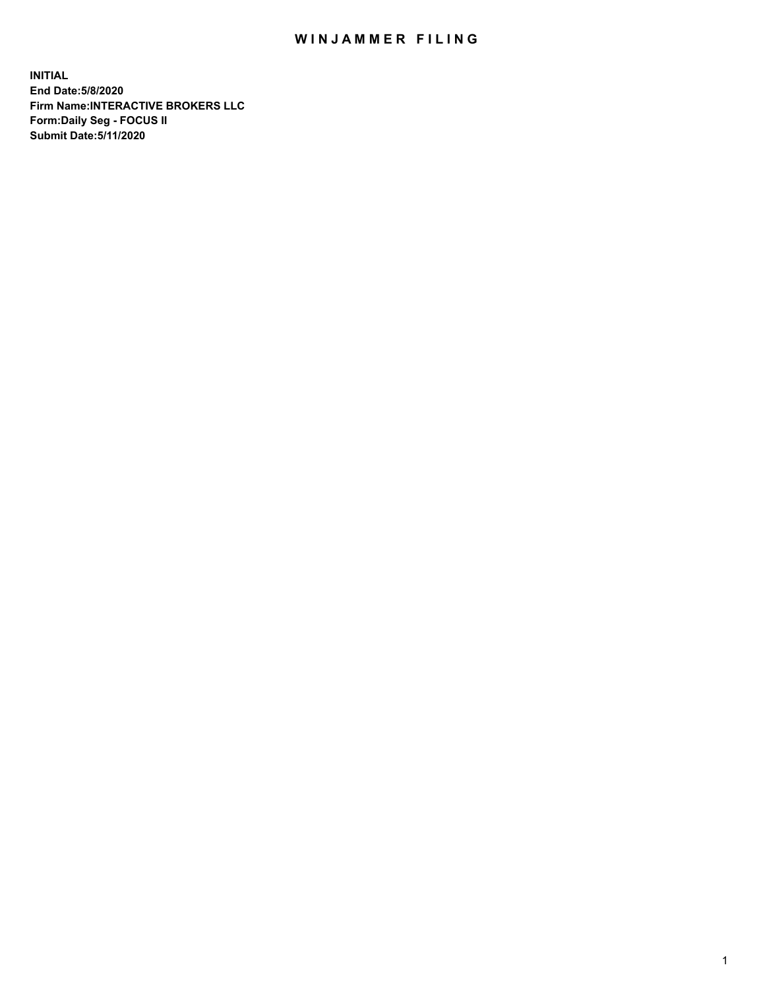## WIN JAMMER FILING

**INITIAL End Date:5/8/2020 Firm Name:INTERACTIVE BROKERS LLC Form:Daily Seg - FOCUS II Submit Date:5/11/2020**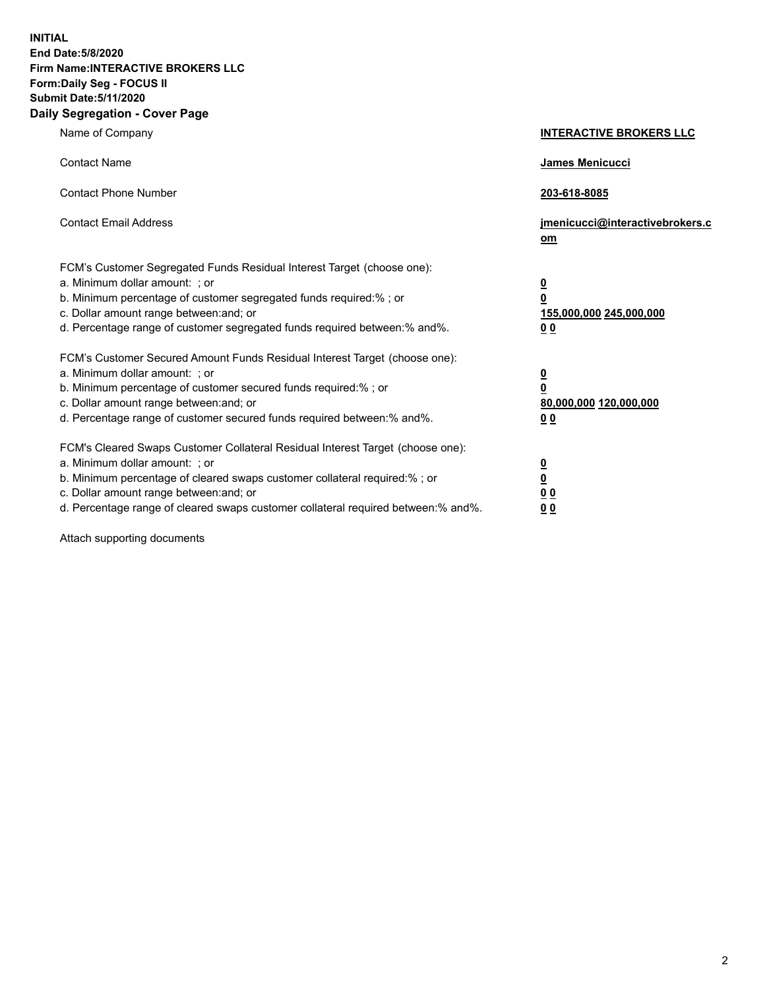**INITIAL End Date:5/8/2020 Firm Name:INTERACTIVE BROKERS LLC Form:Daily Seg - FOCUS II Submit Date:5/11/2020 Daily Segregation - Cover Page**

| Name of Company                                                                                                                                                                                                                                                                                                                | <b>INTERACTIVE BROKERS LLC</b>                                                                 |
|--------------------------------------------------------------------------------------------------------------------------------------------------------------------------------------------------------------------------------------------------------------------------------------------------------------------------------|------------------------------------------------------------------------------------------------|
| <b>Contact Name</b>                                                                                                                                                                                                                                                                                                            | <b>James Menicucci</b>                                                                         |
| <b>Contact Phone Number</b>                                                                                                                                                                                                                                                                                                    | 203-618-8085                                                                                   |
| <b>Contact Email Address</b>                                                                                                                                                                                                                                                                                                   | jmenicucci@interactivebrokers.c<br>om                                                          |
| FCM's Customer Segregated Funds Residual Interest Target (choose one):<br>a. Minimum dollar amount: ; or<br>b. Minimum percentage of customer segregated funds required:% ; or<br>c. Dollar amount range between: and; or<br>d. Percentage range of customer segregated funds required between:% and%.                         | $\overline{\mathbf{0}}$<br>$\overline{\mathbf{0}}$<br>155,000,000 245,000,000<br>00            |
| FCM's Customer Secured Amount Funds Residual Interest Target (choose one):<br>a. Minimum dollar amount: ; or<br>b. Minimum percentage of customer secured funds required:%; or<br>c. Dollar amount range between: and; or<br>d. Percentage range of customer secured funds required between:% and%.                            | $\overline{\mathbf{0}}$<br>$\overline{\mathbf{0}}$<br>80,000,000 120,000,000<br>0 <sub>0</sub> |
| FCM's Cleared Swaps Customer Collateral Residual Interest Target (choose one):<br>a. Minimum dollar amount: ; or<br>b. Minimum percentage of cleared swaps customer collateral required:% ; or<br>c. Dollar amount range between: and; or<br>d. Percentage range of cleared swaps customer collateral required between:% and%. | $\overline{\mathbf{0}}$<br><u>0</u><br>0 <sub>0</sub><br>00                                    |

Attach supporting documents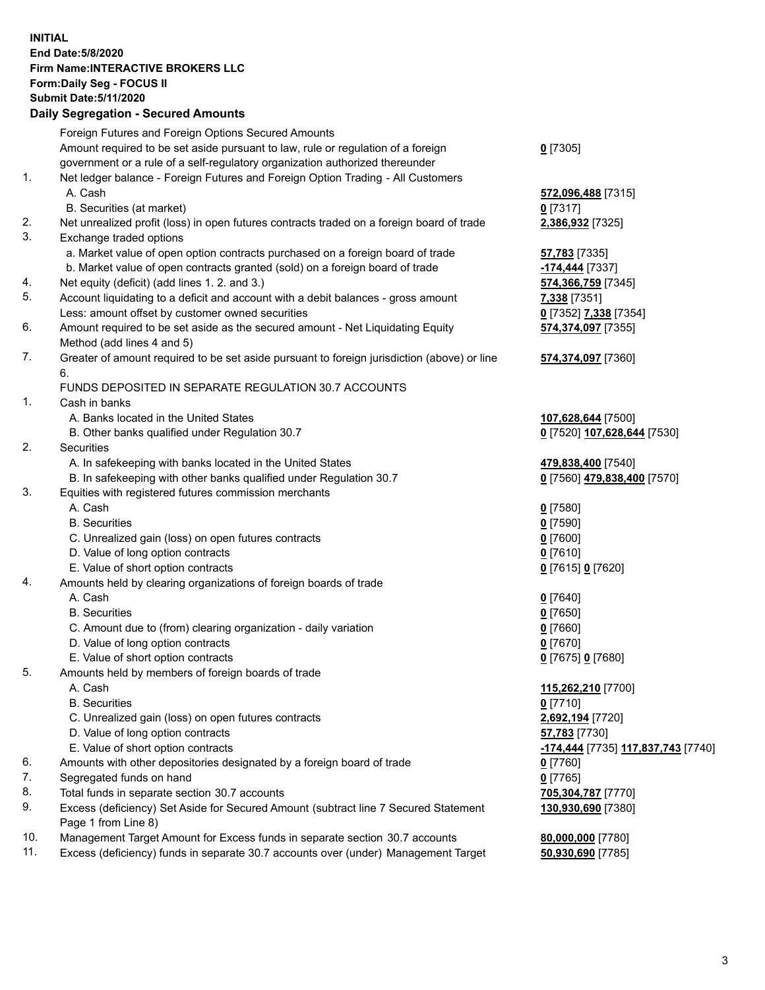## **INITIAL End Date:5/8/2020 Firm Name:INTERACTIVE BROKERS LLC Form:Daily Seg - FOCUS II Submit Date:5/11/2020 Daily Segregation - Secured Amounts**

|     | Daily Jegiegation - Jeculeu Alliounts                                                                      |                                                        |
|-----|------------------------------------------------------------------------------------------------------------|--------------------------------------------------------|
|     | Foreign Futures and Foreign Options Secured Amounts                                                        |                                                        |
|     | Amount required to be set aside pursuant to law, rule or regulation of a foreign                           | $0$ [7305]                                             |
|     | government or a rule of a self-regulatory organization authorized thereunder                               |                                                        |
| 1.  | Net ledger balance - Foreign Futures and Foreign Option Trading - All Customers                            |                                                        |
|     | A. Cash                                                                                                    | 572,096,488 [7315]                                     |
|     | B. Securities (at market)                                                                                  | $0$ [7317]                                             |
| 2.  | Net unrealized profit (loss) in open futures contracts traded on a foreign board of trade                  | 2,386,932 [7325]                                       |
| 3.  | Exchange traded options                                                                                    |                                                        |
|     | a. Market value of open option contracts purchased on a foreign board of trade                             | <b>57,783</b> [7335]                                   |
|     | b. Market value of open contracts granted (sold) on a foreign board of trade                               | -174,444 [7337]                                        |
| 4.  | Net equity (deficit) (add lines 1. 2. and 3.)                                                              | 574,366,759 [7345]                                     |
| 5.  | Account liquidating to a deficit and account with a debit balances - gross amount                          | 7,338 [7351]                                           |
|     | Less: amount offset by customer owned securities                                                           | 0 [7352] 7,338 [7354]                                  |
| 6.  | Amount required to be set aside as the secured amount - Net Liquidating Equity                             | 574,374,097 [7355]                                     |
|     | Method (add lines 4 and 5)                                                                                 |                                                        |
| 7.  | Greater of amount required to be set aside pursuant to foreign jurisdiction (above) or line                | 574,374,097 [7360]                                     |
|     | 6.                                                                                                         |                                                        |
|     | FUNDS DEPOSITED IN SEPARATE REGULATION 30.7 ACCOUNTS                                                       |                                                        |
| 1.  | Cash in banks                                                                                              |                                                        |
|     | A. Banks located in the United States                                                                      | 107,628,644 [7500]                                     |
|     | B. Other banks qualified under Regulation 30.7                                                             | 0 [7520] 107,628,644 [7530]                            |
| 2.  | Securities                                                                                                 |                                                        |
|     | A. In safekeeping with banks located in the United States                                                  | 479,838,400 [7540]                                     |
|     | B. In safekeeping with other banks qualified under Regulation 30.7                                         | 0 [7560] 479,838,400 [7570]                            |
| 3.  | Equities with registered futures commission merchants                                                      |                                                        |
|     | A. Cash                                                                                                    | $0$ [7580]                                             |
|     | <b>B.</b> Securities                                                                                       | $0$ [7590]                                             |
|     | C. Unrealized gain (loss) on open futures contracts                                                        | $0$ [7600]                                             |
|     | D. Value of long option contracts                                                                          | $0$ [7610]                                             |
|     | E. Value of short option contracts                                                                         | 0 [7615] 0 [7620]                                      |
| 4.  | Amounts held by clearing organizations of foreign boards of trade                                          |                                                        |
|     | A. Cash                                                                                                    | $0$ [7640]                                             |
|     | <b>B.</b> Securities                                                                                       | $0$ [7650]                                             |
|     | C. Amount due to (from) clearing organization - daily variation                                            | $0$ [7660]                                             |
|     | D. Value of long option contracts                                                                          | $0$ [7670]                                             |
|     | E. Value of short option contracts                                                                         | 0 [7675] 0 [7680]                                      |
| 5.  | Amounts held by members of foreign boards of trade                                                         |                                                        |
|     | A. Cash                                                                                                    | 115,262,210 [7700]                                     |
|     | <b>B.</b> Securities                                                                                       | $0$ [7710]                                             |
|     | C. Unrealized gain (loss) on open futures contracts                                                        | 2,692,194 [7720]                                       |
|     | D. Value of long option contracts                                                                          | 57,783 [7730]                                          |
|     | E. Value of short option contracts                                                                         | <mark>-174,444</mark> [7735] <b>117,837,743</b> [7740] |
| 6.  | Amounts with other depositories designated by a foreign board of trade                                     | $0$ [7760]                                             |
| 7.  | Segregated funds on hand                                                                                   | $0$ [7765]                                             |
| 8.  | Total funds in separate section 30.7 accounts                                                              | 705,304,787 [7770]                                     |
| 9.  | Excess (deficiency) Set Aside for Secured Amount (subtract line 7 Secured Statement<br>Page 1 from Line 8) | 130,930,690 [7380]                                     |
| 10. | Management Target Amount for Excess funds in separate section 30.7 accounts                                | 80,000,000 [7780]                                      |
| 11. | Excess (deficiency) funds in separate 30.7 accounts over (under) Management Target                         | 50,930,690 [7785]                                      |
|     |                                                                                                            |                                                        |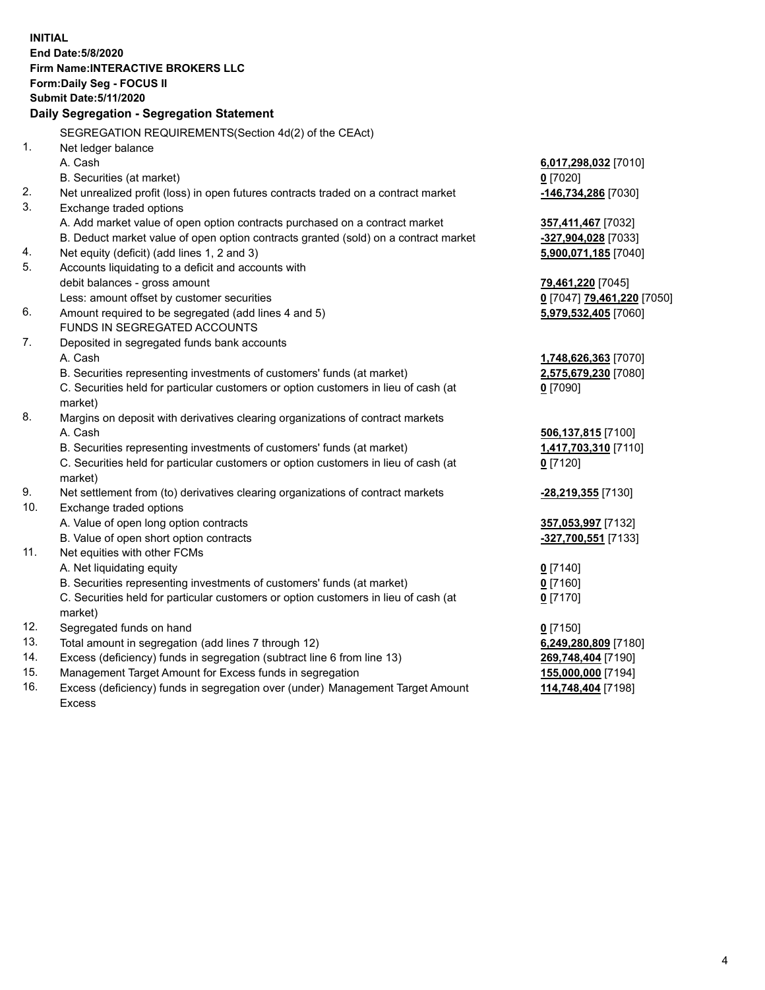**INITIAL End Date:5/8/2020 Firm Name:INTERACTIVE BROKERS LLC Form:Daily Seg - FOCUS II Submit Date:5/11/2020 Daily Segregation - Segregation Statement** SEGREGATION REQUIREMENTS(Section 4d(2) of the CEAct) 1. Net ledger balance A. Cash **6,017,298,032** [7010] B. Securities (at market) **0** [7020] 2. Net unrealized profit (loss) in open futures contracts traded on a contract market **-146,734,286** [7030] 3. Exchange traded options A. Add market value of open option contracts purchased on a contract market **357,411,467** [7032] B. Deduct market value of open option contracts granted (sold) on a contract market **-327,904,028** [7033] 4. Net equity (deficit) (add lines 1, 2 and 3) **5,900,071,185** [7040] 5. Accounts liquidating to a deficit and accounts with debit balances - gross amount **79,461,220** [7045] Less: amount offset by customer securities **0** [7047] **79,461,220** [7050] 6. Amount required to be segregated (add lines 4 and 5) **5,979,532,405** [7060] FUNDS IN SEGREGATED ACCOUNTS 7. Deposited in segregated funds bank accounts A. Cash **1,748,626,363** [7070] B. Securities representing investments of customers' funds (at market) **2,575,679,230** [7080] C. Securities held for particular customers or option customers in lieu of cash (at market) **0** [7090] 8. Margins on deposit with derivatives clearing organizations of contract markets A. Cash **506,137,815** [7100] B. Securities representing investments of customers' funds (at market) **1,417,703,310** [7110] C. Securities held for particular customers or option customers in lieu of cash (at market) **0** [7120] 9. Net settlement from (to) derivatives clearing organizations of contract markets **-28,219,355** [7130] 10. Exchange traded options A. Value of open long option contracts **357,053,997** [7132] B. Value of open short option contracts **-327,700,551** [7133] 11. Net equities with other FCMs A. Net liquidating equity **0** [7140] B. Securities representing investments of customers' funds (at market) **0** [7160] C. Securities held for particular customers or option customers in lieu of cash (at market) **0** [7170] 12. Segregated funds on hand **0** [7150] 13. Total amount in segregation (add lines 7 through 12) **6,249,280,809** [7180] 14. Excess (deficiency) funds in segregation (subtract line 6 from line 13) **269,748,404** [7190] 15. Management Target Amount for Excess funds in segregation **155,000,000** [7194] 16. Excess (deficiency) funds in segregation over (under) Management Target Amount Excess **114,748,404** [7198]